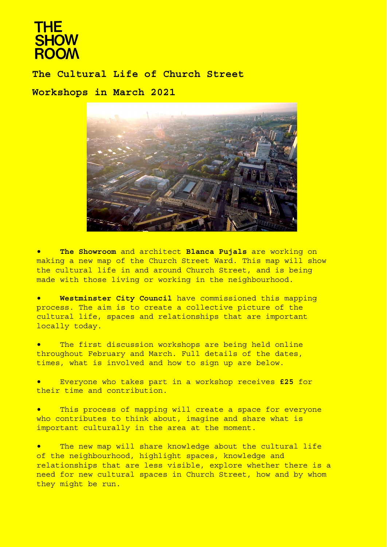# **THE SHOW ROOM**

**The Cultural Life of Church Street Workshops in March 2021**



• **The Showroom** and architect **Blanca Pujals** are working on making a new map of the Church Street Ward. This map will show the cultural life in and around Church Street, and is being made with those living or working in the neighbourhood.

• **Westminster City Council** have commissioned this mapping process. The aim is to create a collective picture of the cultural life, spaces and relationships that are important locally today.

The first discussion workshops are being held online throughout February and March. Full details of the dates, times, what is involved and how to sign up are below.

• Everyone who takes part in a workshop receives **£25** for their time and contribution.

• This process of mapping will create a space for everyone who contributes to think about, imagine and share what is important culturally in the area at the moment.

• The new map will share knowledge about the cultural life of the neighbourhood, highlight spaces, knowledge and relationships that are less visible, explore whether there is a need for new cultural spaces in Church Street, how and by whom they might be run.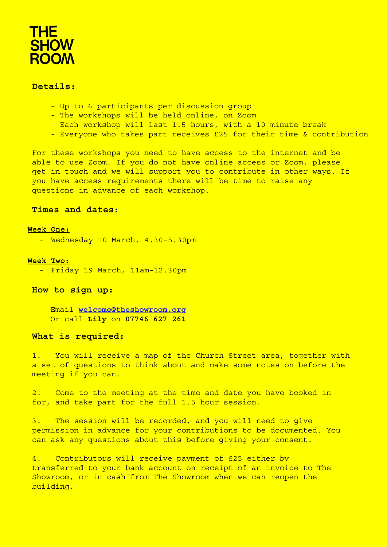# **THE SHOW**<br>ROOM

## **Details:**

- Up to 6 participants per discussion group
- The workshops will be held online, on Zoom
- Each workshop will last 1.5 hours, with a 10 minute break
- Everyone who takes part receives £25 for their time & contribution

For these workshops you need to have access to the internet and be able to use Zoom. If you do not have online access or Zoom, please get in touch and we will support you to contribute in other ways. If you have access requirements there will be time to raise any questions in advance of each workshop.

# **Times and dates:**

#### **Week One:**

- Wednesday 10 March, 4.30–5.30pm

#### **Week Two:**

- Friday 19 March, 11am-12.30pm

### **How to sign up:**

Email **[welcome@theshowroom.org](mailto:welcome@theshowroom.org)** Or call **Lily** on **07746 627 261**

#### **What is required:**

1. You will receive a map of the Church Street area, together with a set of questions to think about and make some notes on before the meeting if you can.

2. Come to the meeting at the time and date you have booked in for, and take part for the full 1.5 hour session.

3. The session will be recorded, and you will need to give permission in advance for your contributions to be documented. You can ask any questions about this before giving your consent.

4. Contributors will receive payment of £25 either by transferred to your bank account on receipt of an invoice to The Showroom, or in cash from The Showroom when we can reopen the building.